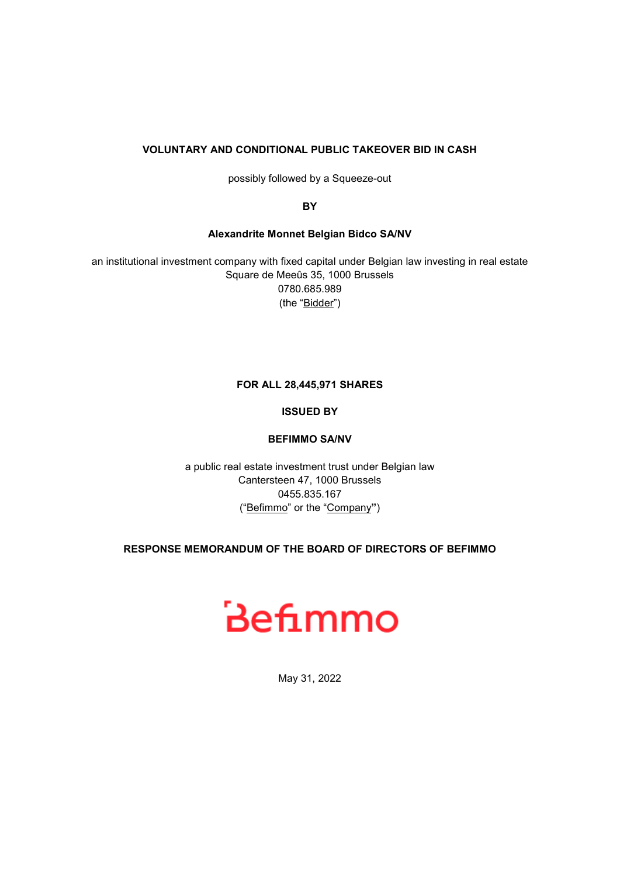## **VOLUNTARY AND CONDITIONAL PUBLIC TAKEOVER BID IN CASH**

possibly followed by a Squeeze-out

**BY**

## **Alexandrite Monnet Belgian Bidco SA/NV**

an institutional investment company with fixed capital under Belgian law investing in real estate Square de Meeûs 35, 1000 Brussels 0780.685.989 (the "Bidder")

## **FOR ALL 28,445,971 SHARES**

## **ISSUED BY**

## **BEFIMMO SA/NV**

a public real estate investment trust under Belgian law Cantersteen 47, 1000 Brussels 0455.835.167 ("Befimmo" or the "Company**"**)

## **RESPONSE MEMORANDUM OF THE BOARD OF DIRECTORS OF BEFIMMO**

# **Befimmo**

May 31, 2022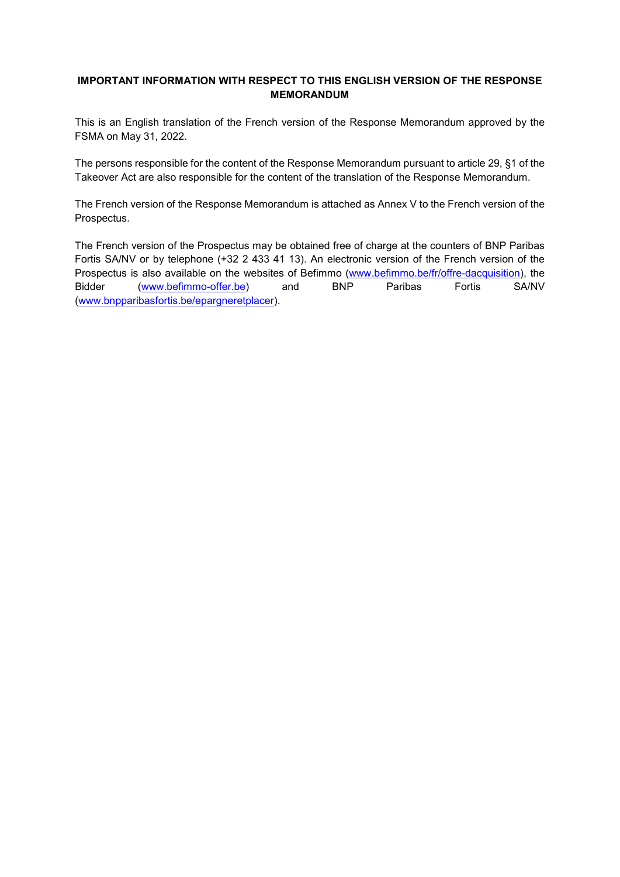## **IMPORTANT INFORMATION WITH RESPECT TO THIS ENGLISH VERSION OF THE RESPONSE MEMORANDUM**

This is an English translation of the French version of the Response Memorandum approved by the FSMA on May 31, 2022.

The persons responsible for the content of the Response Memorandum pursuant to article 29, §1 of the Takeover Act are also responsible for the content of the translation of the Response Memorandum.

The French version of the Response Memorandum is attached as Annex V to the French version of the Prospectus.

The French version of the Prospectus may be obtained free of charge at the counters of BNP Paribas Fortis SA/NV or by telephone (+32 2 433 41 13). An electronic version of the French version of the Prospectus is also available on the websites of Befimmo [\(www.befimmo.be/fr/offre-dacquisition\)](http://www.befimmo.be/fr/offre-dacquisition), the Bidder [\(www.befimmo-offer.be\)](http://www.befimmo-offer.be/) and BNP Paribas Fortis SA/NV [\(www.bnpparibasfortis.be/epargneretplacer\)](http://www.bnpparibasfortis.be/epargneretplacer).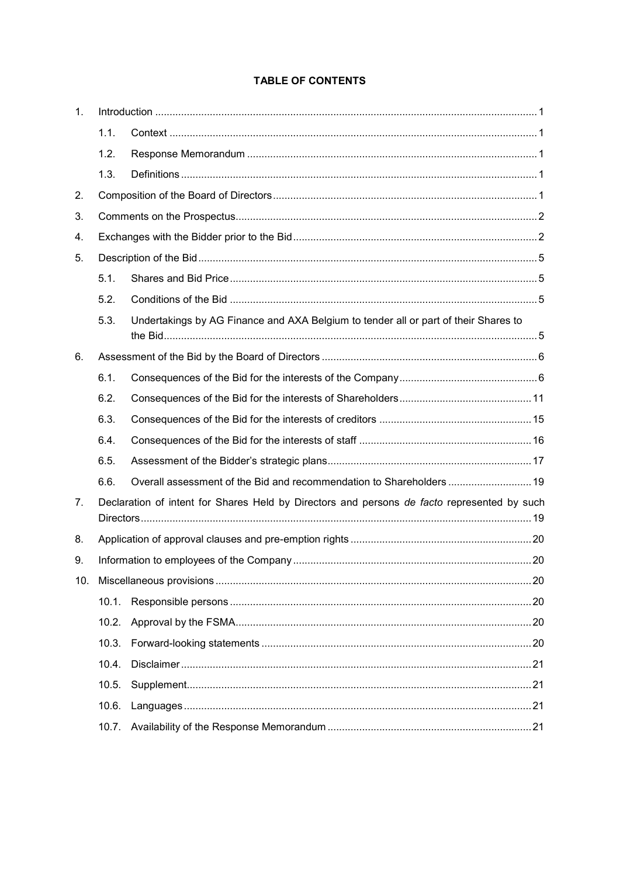# TABLE OF CONTENTS

| 1.             |       |                                                                                             |  |  |  |  |
|----------------|-------|---------------------------------------------------------------------------------------------|--|--|--|--|
|                | 1.1.  |                                                                                             |  |  |  |  |
|                | 1.2.  |                                                                                             |  |  |  |  |
|                | 1.3.  |                                                                                             |  |  |  |  |
| 2.             |       |                                                                                             |  |  |  |  |
| 3.             |       |                                                                                             |  |  |  |  |
| 4.             |       |                                                                                             |  |  |  |  |
| 5.             |       |                                                                                             |  |  |  |  |
|                | 5.1.  |                                                                                             |  |  |  |  |
|                | 5.2.  |                                                                                             |  |  |  |  |
|                | 5.3.  | Undertakings by AG Finance and AXA Belgium to tender all or part of their Shares to         |  |  |  |  |
| 6.             |       |                                                                                             |  |  |  |  |
|                | 6.1.  |                                                                                             |  |  |  |  |
|                | 6.2.  |                                                                                             |  |  |  |  |
|                | 6.3.  |                                                                                             |  |  |  |  |
|                | 6.4.  |                                                                                             |  |  |  |  |
|                | 6.5.  |                                                                                             |  |  |  |  |
|                | 6.6.  | Overall assessment of the Bid and recommendation to Shareholders  19                        |  |  |  |  |
| 7 <sub>1</sub> |       | Declaration of intent for Shares Held by Directors and persons de facto represented by such |  |  |  |  |
| 8.             |       |                                                                                             |  |  |  |  |
| 9.             |       |                                                                                             |  |  |  |  |
| 10.            |       |                                                                                             |  |  |  |  |
|                | 10.1. |                                                                                             |  |  |  |  |
|                | 10.2. |                                                                                             |  |  |  |  |
|                | 10.3. |                                                                                             |  |  |  |  |
|                | 10.4. |                                                                                             |  |  |  |  |
|                | 10.5. |                                                                                             |  |  |  |  |
|                | 10.6. |                                                                                             |  |  |  |  |
|                | 10.7. |                                                                                             |  |  |  |  |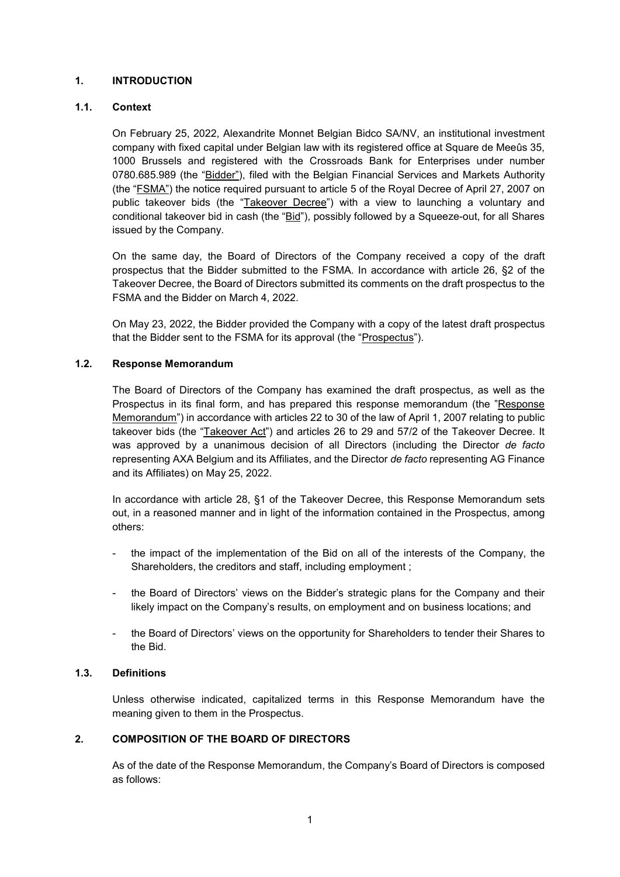## <span id="page-3-0"></span>**1. INTRODUCTION**

## <span id="page-3-1"></span>**1.1. Context**

On February 25, 2022, Alexandrite Monnet Belgian Bidco SA/NV, an institutional investment company with fixed capital under Belgian law with its registered office at Square de Meeûs 35, 1000 Brussels and registered with the Crossroads Bank for Enterprises under number 0780.685.989 (the "Bidder"), filed with the Belgian Financial Services and Markets Authority (the "FSMA") the notice required pursuant to article 5 of the Royal Decree of April 27, 2007 on public takeover bids (the "Takeover Decree") with a view to launching a voluntary and conditional takeover bid in cash (the "Bid"), possibly followed by a Squeeze-out, for all Shares issued by the Company.

On the same day, the Board of Directors of the Company received a copy of the draft prospectus that the Bidder submitted to the FSMA. In accordance with article 26, §2 of the Takeover Decree, the Board of Directors submitted its comments on the draft prospectus to the FSMA and the Bidder on March 4, 2022.

On May 23, 2022, the Bidder provided the Company with a copy of the latest draft prospectus that the Bidder sent to the FSMA for its approval (the "Prospectus").

## <span id="page-3-2"></span>**1.2. Response Memorandum**

The Board of Directors of the Company has examined the draft prospectus, as well as the Prospectus in its final form, and has prepared this response memorandum (the "Response Memorandum") in accordance with articles 22 to 30 of the law of April 1, 2007 relating to public takeover bids (the "Takeover Act") and articles 26 to 29 and 57/2 of the Takeover Decree. It was approved by a unanimous decision of all Directors (including the Director *de facto*  representing AXA Belgium and its Affiliates, and the Director *de facto* representing AG Finance and its Affiliates) on May 25, 2022.

In accordance with article 28, §1 of the Takeover Decree, this Response Memorandum sets out, in a reasoned manner and in light of the information contained in the Prospectus, among others:

- the impact of the implementation of the Bid on all of the interests of the Company, the Shareholders, the creditors and staff, including employment ;
- the Board of Directors' views on the Bidder's strategic plans for the Company and their likely impact on the Company's results, on employment and on business locations; and
- the Board of Directors' views on the opportunity for Shareholders to tender their Shares to the Bid.

## <span id="page-3-3"></span>**1.3. Definitions**

Unless otherwise indicated, capitalized terms in this Response Memorandum have the meaning given to them in the Prospectus.

## <span id="page-3-4"></span>**2. COMPOSITION OF THE BOARD OF DIRECTORS**

As of the date of the Response Memorandum, the Company's Board of Directors is composed as follows: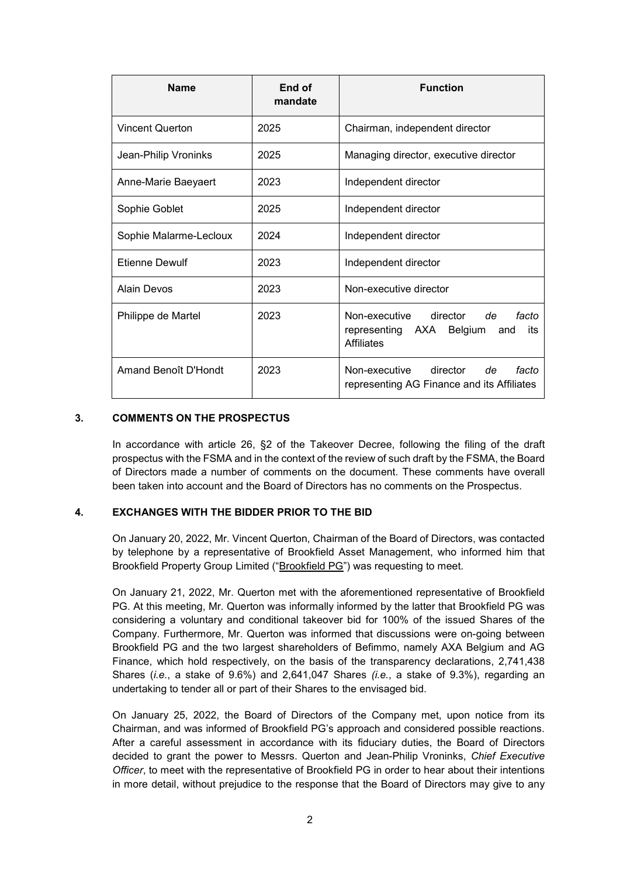| <b>Name</b>            | End of<br>mandate | <b>Function</b>                                                                                          |
|------------------------|-------------------|----------------------------------------------------------------------------------------------------------|
| <b>Vincent Querton</b> | 2025              | Chairman, independent director                                                                           |
| Jean-Philip Vroninks   | 2025              | Managing director, executive director                                                                    |
| Anne-Marie Baeyaert    | 2023              | Independent director                                                                                     |
| Sophie Goblet          | 2025              | Independent director                                                                                     |
| Sophie Malarme-Lecloux | 2024              | Independent director                                                                                     |
| <b>Etienne Dewulf</b>  | 2023              | Independent director                                                                                     |
| Alain Devos            | 2023              | Non-executive director                                                                                   |
| Philippe de Martel     | 2023              | Non-executive<br>director <i>de</i><br>facto<br>representing AXA Belgium and<br>its<br><b>Affiliates</b> |
| Amand Benoît D'Hondt   | 2023              | director<br>Non-executive<br>facto<br>de<br>representing AG Finance and its Affiliates                   |

## <span id="page-4-0"></span>**3. COMMENTS ON THE PROSPECTUS**

In accordance with article 26, §2 of the Takeover Decree, following the filing of the draft prospectus with the FSMA and in the context of the review of such draft by the FSMA, the Board of Directors made a number of comments on the document. These comments have overall been taken into account and the Board of Directors has no comments on the Prospectus.

#### <span id="page-4-1"></span>**4. EXCHANGES WITH THE BIDDER PRIOR TO THE BID**

On January 20, 2022, Mr. Vincent Querton, Chairman of the Board of Directors, was contacted by telephone by a representative of Brookfield Asset Management, who informed him that Brookfield Property Group Limited ("Brookfield PG") was requesting to meet.

On January 21, 2022, Mr. Querton met with the aforementioned representative of Brookfield PG. At this meeting, Mr. Querton was informally informed by the latter that Brookfield PG was considering a voluntary and conditional takeover bid for 100% of the issued Shares of the Company. Furthermore, Mr. Querton was informed that discussions were on-going between Brookfield PG and the two largest shareholders of Befimmo, namely AXA Belgium and AG Finance, which hold respectively, on the basis of the transparency declarations, 2,741,438 Shares (*i.e.*, a stake of 9.6%) and 2,641,047 Shares *(i.e.*, a stake of 9.3%), regarding an undertaking to tender all or part of their Shares to the envisaged bid.

On January 25, 2022, the Board of Directors of the Company met, upon notice from its Chairman, and was informed of Brookfield PG's approach and considered possible reactions. After a careful assessment in accordance with its fiduciary duties, the Board of Directors decided to grant the power to Messrs. Querton and Jean-Philip Vroninks, *Chief Executive Officer*, to meet with the representative of Brookfield PG in order to hear about their intentions in more detail, without prejudice to the response that the Board of Directors may give to any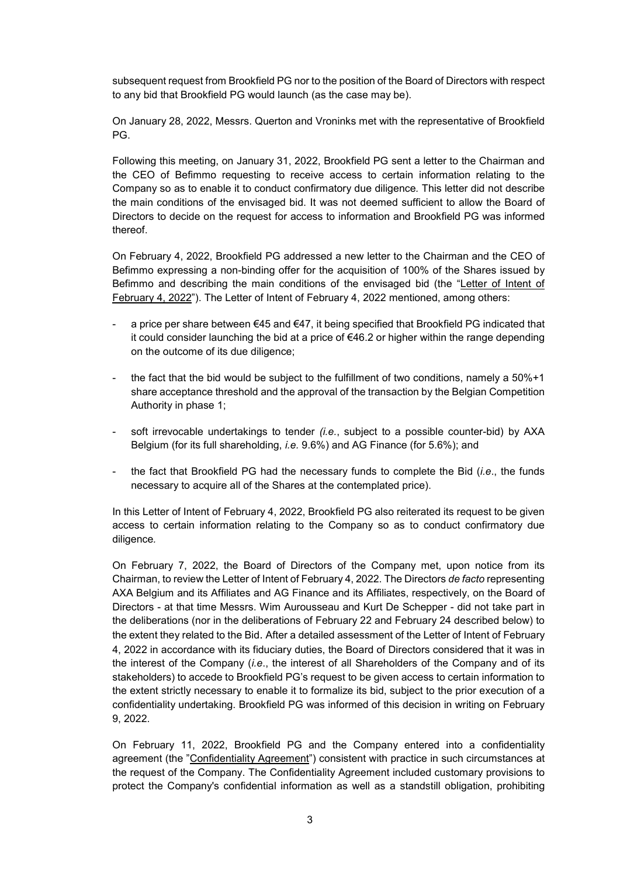subsequent request from Brookfield PG nor to the position of the Board of Directors with respect to any bid that Brookfield PG would launch (as the case may be).

On January 28, 2022, Messrs. Querton and Vroninks met with the representative of Brookfield PG.

Following this meeting, on January 31, 2022, Brookfield PG sent a letter to the Chairman and the CEO of Befimmo requesting to receive access to certain information relating to the Company so as to enable it to conduct confirmatory due diligence*.* This letter did not describe the main conditions of the envisaged bid. It was not deemed sufficient to allow the Board of Directors to decide on the request for access to information and Brookfield PG was informed thereof.

On February 4, 2022, Brookfield PG addressed a new letter to the Chairman and the CEO of Befimmo expressing a non-binding offer for the acquisition of 100% of the Shares issued by Befimmo and describing the main conditions of the envisaged bid (the "Letter of Intent of February 4, 2022"). The Letter of Intent of February 4, 2022 mentioned, among others:

- a price per share between  $\epsilon$ 45 and  $\epsilon$ 47, it being specified that Brookfield PG indicated that it could consider launching the bid at a price of  $\epsilon$ 46.2 or higher within the range depending on the outcome of its due diligence;
- the fact that the bid would be subject to the fulfillment of two conditions, namely a 50%+1 share acceptance threshold and the approval of the transaction by the Belgian Competition Authority in phase 1;
- soft irrevocable undertakings to tender *(i.e.*, subject to a possible counter-bid) by AXA Belgium (for its full shareholding, *i.e.* 9.6%) and AG Finance (for 5.6%); and
- the fact that Brookfield PG had the necessary funds to complete the Bid (*i.e*., the funds necessary to acquire all of the Shares at the contemplated price).

In this Letter of Intent of February 4, 2022, Brookfield PG also reiterated its request to be given access to certain information relating to the Company so as to conduct confirmatory due diligence*.*

On February 7, 2022, the Board of Directors of the Company met, upon notice from its Chairman, to review the Letter of Intent of February 4, 2022. The Directors *de facto* representing AXA Belgium and its Affiliates and AG Finance and its Affiliates, respectively, on the Board of Directors - at that time Messrs. Wim Aurousseau and Kurt De Schepper - did not take part in the deliberations (nor in the deliberations of February 22 and February 24 described below) to the extent they related to the Bid. After a detailed assessment of the Letter of Intent of February 4, 2022 in accordance with its fiduciary duties, the Board of Directors considered that it was in the interest of the Company (*i.e*., the interest of all Shareholders of the Company and of its stakeholders) to accede to Brookfield PG's request to be given access to certain information to the extent strictly necessary to enable it to formalize its bid, subject to the prior execution of a confidentiality undertaking. Brookfield PG was informed of this decision in writing on February 9, 2022.

On February 11, 2022, Brookfield PG and the Company entered into a confidentiality agreement (the "Confidentiality Agreement") consistent with practice in such circumstances at the request of the Company. The Confidentiality Agreement included customary provisions to protect the Company's confidential information as well as a standstill obligation, prohibiting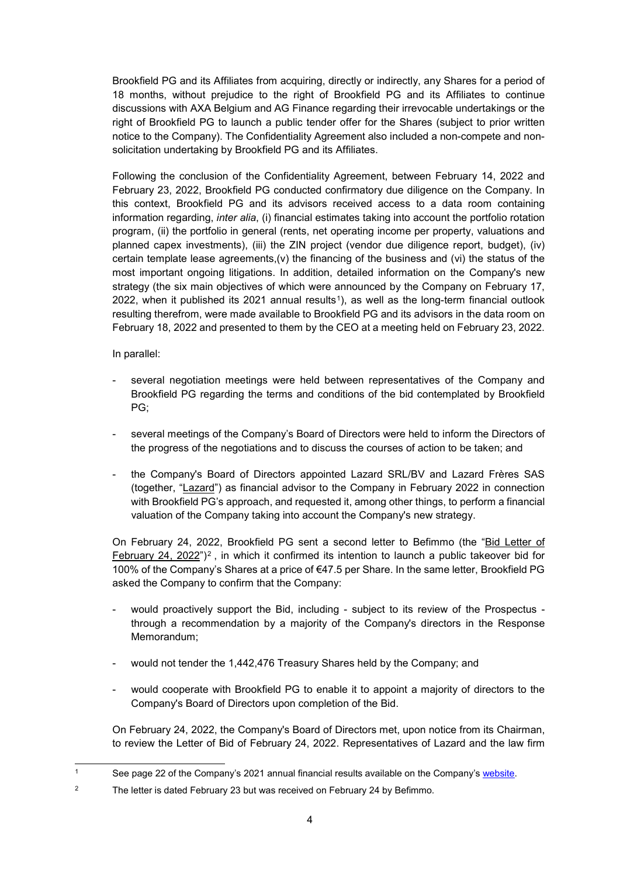Brookfield PG and its Affiliates from acquiring, directly or indirectly, any Shares for a period of 18 months, without prejudice to the right of Brookfield PG and its Affiliates to continue discussions with AXA Belgium and AG Finance regarding their irrevocable undertakings or the right of Brookfield PG to launch a public tender offer for the Shares (subject to prior written notice to the Company). The Confidentiality Agreement also included a non-compete and nonsolicitation undertaking by Brookfield PG and its Affiliates.

Following the conclusion of the Confidentiality Agreement, between February 14, 2022 and February 23, 2022, Brookfield PG conducted confirmatory due diligence on the Company. In this context, Brookfield PG and its advisors received access to a data room containing information regarding, *inter alia*, (i) financial estimates taking into account the portfolio rotation program, (ii) the portfolio in general (rents, net operating income per property, valuations and planned capex investments), (iii) the ZIN project (vendor due diligence report, budget), (iv) certain template lease agreements, $(v)$  the financing of the business and  $(vi)$  the status of the most important ongoing litigations. In addition, detailed information on the Company's new strategy (the six main objectives of which were announced by the Company on February 17, 2022, when it published its 202[1](#page-6-0) annual results<sup>1</sup>), as well as the long-term financial outlook resulting therefrom, were made available to Brookfield PG and its advisors in the data room on February 18, 2022 and presented to them by the CEO at a meeting held on February 23, 2022.

In parallel:

<span id="page-6-0"></span> $\mathbf{1}$ 

- several negotiation meetings were held between representatives of the Company and Brookfield PG regarding the terms and conditions of the bid contemplated by Brookfield PG;
- several meetings of the Company's Board of Directors were held to inform the Directors of the progress of the negotiations and to discuss the courses of action to be taken; and
- the Company's Board of Directors appointed Lazard SRL/BV and Lazard Frères SAS (together, "Lazard") as financial advisor to the Company in February 2022 in connection with Brookfield PG's approach, and requested it, among other things, to perform a financial valuation of the Company taking into account the Company's new strategy.

On February 24, 2022, Brookfield PG sent a second letter to Befimmo (the "Bid Letter of February [2](#page-6-1)4, 2022")<sup>2</sup>, in which it confirmed its intention to launch a public takeover bid for 100% of the Company's Shares at a price of €47.5 per Share. In the same letter, Brookfield PG asked the Company to confirm that the Company:

- would proactively support the Bid, including subject to its review of the Prospectus through a recommendation by a majority of the Company's directors in the Response Memorandum;
- would not tender the 1,442,476 Treasury Shares held by the Company; and
- would cooperate with Brookfield PG to enable it to appoint a majority of directors to the Company's Board of Directors upon completion of the Bid.

On February 24, 2022, the Company's Board of Directors met, upon notice from its Chairman, to review the Letter of Bid of February 24, 2022. Representatives of Lazard and the law firm

See page 22 of the Company's 2021 annual financial results available on the Company'[s website.](https://www.befimmo.be/sites/default/files/imce/publications/befimmo_sa_-_annual_results_2021_-_uk_-_final.pdf)

<span id="page-6-1"></span><sup>&</sup>lt;sup>2</sup> The letter is dated February 23 but was received on February 24 by Befimmo.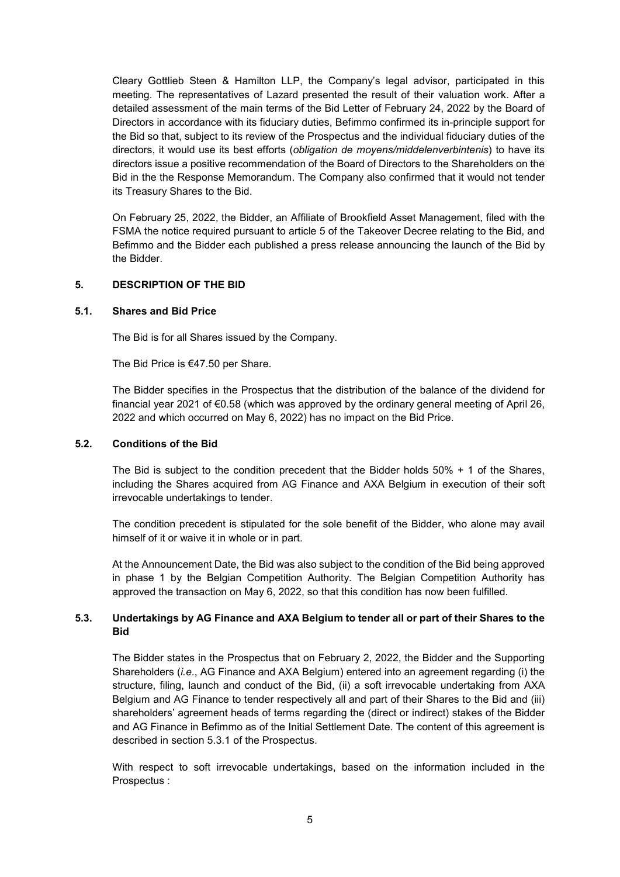Cleary Gottlieb Steen & Hamilton LLP, the Company's legal advisor, participated in this meeting. The representatives of Lazard presented the result of their valuation work. After a detailed assessment of the main terms of the Bid Letter of February 24, 2022 by the Board of Directors in accordance with its fiduciary duties, Befimmo confirmed its in-principle support for the Bid so that, subject to its review of the Prospectus and the individual fiduciary duties of the directors, it would use its best efforts (*obligation de moyens/middelenverbintenis*) to have its directors issue a positive recommendation of the Board of Directors to the Shareholders on the Bid in the the Response Memorandum. The Company also confirmed that it would not tender its Treasury Shares to the Bid.

On February 25, 2022, the Bidder, an Affiliate of Brookfield Asset Management, filed with the FSMA the notice required pursuant to article 5 of the Takeover Decree relating to the Bid, and Befimmo and the Bidder each published a press release announcing the launch of the Bid by the Bidder.

## <span id="page-7-0"></span>**5. DESCRIPTION OF THE BID**

#### <span id="page-7-1"></span>**5.1. Shares and Bid Price**

The Bid is for all Shares issued by the Company.

The Bid Price is €47.50 per Share.

The Bidder specifies in the Prospectus that the distribution of the balance of the dividend for financial year 2021 of €0.58 (which was approved by the ordinary general meeting of April 26, 2022 and which occurred on May 6, 2022) has no impact on the Bid Price.

#### <span id="page-7-2"></span>**5.2. Conditions of the Bid**

The Bid is subject to the condition precedent that the Bidder holds  $50\% + 1$  of the Shares, including the Shares acquired from AG Finance and AXA Belgium in execution of their soft irrevocable undertakings to tender.

The condition precedent is stipulated for the sole benefit of the Bidder, who alone may avail himself of it or waive it in whole or in part.

At the Announcement Date, the Bid was also subject to the condition of the Bid being approved in phase 1 by the Belgian Competition Authority. The Belgian Competition Authority has approved the transaction on May 6, 2022, so that this condition has now been fulfilled.

## <span id="page-7-3"></span>**5.3. Undertakings by AG Finance and AXA Belgium to tender all or part of their Shares to the Bid**

The Bidder states in the Prospectus that on February 2, 2022, the Bidder and the Supporting Shareholders (*i.e*., AG Finance and AXA Belgium) entered into an agreement regarding (i) the structure, filing, launch and conduct of the Bid, (ii) a soft irrevocable undertaking from AXA Belgium and AG Finance to tender respectively all and part of their Shares to the Bid and (iii) shareholders' agreement heads of terms regarding the (direct or indirect) stakes of the Bidder and AG Finance in Befimmo as of the Initial Settlement Date. The content of this agreement is described in section 5.3.1 of the Prospectus.

With respect to soft irrevocable undertakings, based on the information included in the Prospectus :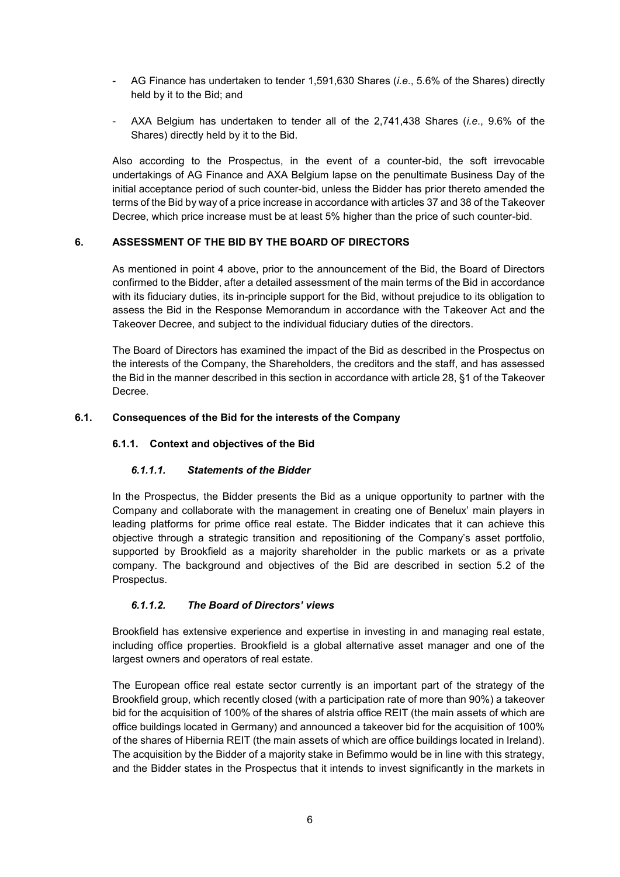- AG Finance has undertaken to tender 1,591,630 Shares (*i.e*., 5.6% of the Shares) directly held by it to the Bid; and
- AXA Belgium has undertaken to tender all of the 2,741,438 Shares (*i.e*., 9.6% of the Shares) directly held by it to the Bid.

Also according to the Prospectus, in the event of a counter-bid, the soft irrevocable undertakings of AG Finance and AXA Belgium lapse on the penultimate Business Day of the initial acceptance period of such counter-bid, unless the Bidder has prior thereto amended the terms of the Bid by way of a price increase in accordance with articles 37 and 38 of the Takeover Decree, which price increase must be at least 5% higher than the price of such counter-bid.

## <span id="page-8-0"></span>**6. ASSESSMENT OF THE BID BY THE BOARD OF DIRECTORS**

As mentioned in point [4](#page-4-1) above, prior to the announcement of the Bid, the Board of Directors confirmed to the Bidder, after a detailed assessment of the main terms of the Bid in accordance with its fiduciary duties, its in-principle support for the Bid, without prejudice to its obligation to assess the Bid in the Response Memorandum in accordance with the Takeover Act and the Takeover Decree, and subject to the individual fiduciary duties of the directors.

The Board of Directors has examined the impact of the Bid as described in the Prospectus on the interests of the Company, the Shareholders, the creditors and the staff, and has assessed the Bid in the manner described in this section in accordance with article 28, §1 of the Takeover Decree.

## <span id="page-8-1"></span>**6.1. Consequences of the Bid for the interests of the Company**

## **6.1.1. Context and objectives of the Bid**

## *6.1.1.1. Statements of the Bidder*

In the Prospectus, the Bidder presents the Bid as a unique opportunity to partner with the Company and collaborate with the management in creating one of Benelux' main players in leading platforms for prime office real estate. The Bidder indicates that it can achieve this objective through a strategic transition and repositioning of the Company's asset portfolio, supported by Brookfield as a majority shareholder in the public markets or as a private company. The background and objectives of the Bid are described in section 5.2 of the Prospectus.

## *6.1.1.2. The Board of Directors' views*

Brookfield has extensive experience and expertise in investing in and managing real estate, including office properties. Brookfield is a global alternative asset manager and one of the largest owners and operators of real estate.

The European office real estate sector currently is an important part of the strategy of the Brookfield group, which recently closed (with a participation rate of more than 90%) a takeover bid for the acquisition of 100% of the shares of alstria office REIT (the main assets of which are office buildings located in Germany) and announced a takeover bid for the acquisition of 100% of the shares of Hibernia REIT (the main assets of which are office buildings located in Ireland). The acquisition by the Bidder of a majority stake in Befimmo would be in line with this strategy, and the Bidder states in the Prospectus that it intends to invest significantly in the markets in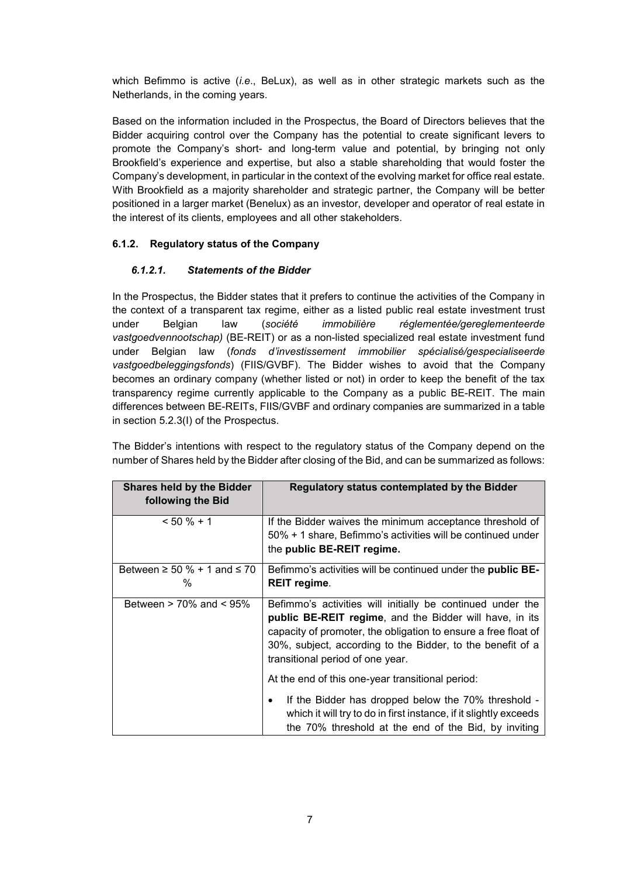which Befimmo is active (*i.e*., BeLux), as well as in other strategic markets such as the Netherlands, in the coming years.

Based on the information included in the Prospectus, the Board of Directors believes that the Bidder acquiring control over the Company has the potential to create significant levers to promote the Company's short- and long-term value and potential, by bringing not only Brookfield's experience and expertise, but also a stable shareholding that would foster the Company's development, in particular in the context of the evolving market for office real estate. With Brookfield as a majority shareholder and strategic partner, the Company will be better positioned in a larger market (Benelux) as an investor, developer and operator of real estate in the interest of its clients, employees and all other stakeholders.

## <span id="page-9-0"></span>**6.1.2. Regulatory status of the Company**

## *6.1.2.1. Statements of the Bidder*

In the Prospectus, the Bidder states that it prefers to continue the activities of the Company in the context of a transparent tax regime, either as a listed public real estate investment trust under Belgian law (*société immobilière réglementée/gereglementeerde vastgoedvennootschap)* (BE-REIT) or as a non-listed specialized real estate investment fund under Belgian law (*fonds d'investissement immobilier spécialisé/gespecialiseerde vastgoedbeleggingsfonds*) (FIIS/GVBF). The Bidder wishes to avoid that the Company becomes an ordinary company (whether listed or not) in order to keep the benefit of the tax transparency regime currently applicable to the Company as a public BE-REIT. The main differences between BE-REITs, FIIS/GVBF and ordinary companies are summarized in a table in section 5.2.3(I) of the Prospectus.

The Bidder's intentions with respect to the regulatory status of the Company depend on the number of Shares held by the Bidder after closing of the Bid, and can be summarized as follows:

| <b>Shares held by the Bidder</b><br>following the Bid | Regulatory status contemplated by the Bidder                                                                                                                                                                                                                                                     |
|-------------------------------------------------------|--------------------------------------------------------------------------------------------------------------------------------------------------------------------------------------------------------------------------------------------------------------------------------------------------|
| $< 50 \% + 1$                                         | If the Bidder waives the minimum acceptance threshold of<br>50% + 1 share, Befimmo's activities will be continued under<br>the public BE-REIT regime.                                                                                                                                            |
| Between $\geq 50 \% + 1$ and $\leq 70$<br>$\%$        | Befimmo's activities will be continued under the public BE-<br><b>REIT regime.</b>                                                                                                                                                                                                               |
| Between $> 70\%$ and $< 95\%$                         | Befimmo's activities will initially be continued under the<br><b>public BE-REIT regime, and the Bidder will have, in its</b><br>capacity of promoter, the obligation to ensure a free float of<br>30%, subject, according to the Bidder, to the benefit of a<br>transitional period of one year. |
|                                                       | At the end of this one-year transitional period:                                                                                                                                                                                                                                                 |
|                                                       | If the Bidder has dropped below the 70% threshold -<br>$\bullet$<br>which it will try to do in first instance, if it slightly exceeds<br>the 70% threshold at the end of the Bid, by inviting                                                                                                    |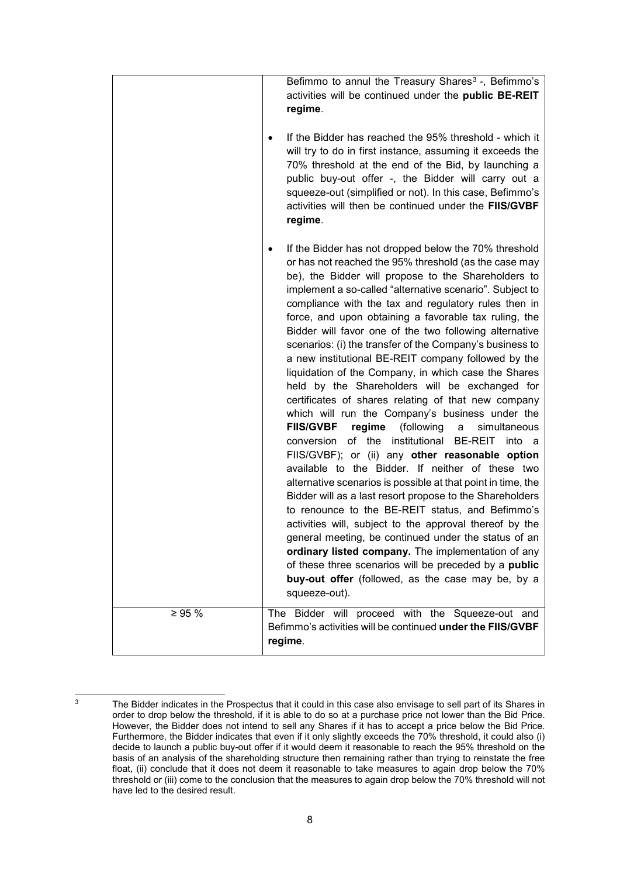|              | Befimmo to annul the Treasury Shares <sup>3</sup> -, Befimmo's<br>activities will be continued under the public BE-REIT<br>regime.<br>If the Bidder has reached the 95% threshold - which it<br>$\bullet$<br>will try to do in first instance, assuming it exceeds the<br>70% threshold at the end of the Bid, by launching a<br>public buy-out offer -, the Bidder will carry out a<br>squeeze-out (simplified or not). In this case, Befimmo's<br>activities will then be continued under the FIIS/GVBF<br>regime.                                                                                                                                                                                                                                                                                                                                                                                                                                                                                                                                                                                                                                                                                                                                                                                                                                                                                                                                                          |
|--------------|-------------------------------------------------------------------------------------------------------------------------------------------------------------------------------------------------------------------------------------------------------------------------------------------------------------------------------------------------------------------------------------------------------------------------------------------------------------------------------------------------------------------------------------------------------------------------------------------------------------------------------------------------------------------------------------------------------------------------------------------------------------------------------------------------------------------------------------------------------------------------------------------------------------------------------------------------------------------------------------------------------------------------------------------------------------------------------------------------------------------------------------------------------------------------------------------------------------------------------------------------------------------------------------------------------------------------------------------------------------------------------------------------------------------------------------------------------------------------------|
|              | If the Bidder has not dropped below the 70% threshold<br>٠<br>or has not reached the 95% threshold (as the case may<br>be), the Bidder will propose to the Shareholders to<br>implement a so-called "alternative scenario". Subject to<br>compliance with the tax and regulatory rules then in<br>force, and upon obtaining a favorable tax ruling, the<br>Bidder will favor one of the two following alternative<br>scenarios: (i) the transfer of the Company's business to<br>a new institutional BE-REIT company followed by the<br>liquidation of the Company, in which case the Shares<br>held by the Shareholders will be exchanged for<br>certificates of shares relating of that new company<br>which will run the Company's business under the<br><b>FIIS/GVBF</b><br>regime<br>(following<br>simultaneous<br>a<br>of the institutional BE-REIT into a<br>conversion<br>FIIS/GVBF); or (ii) any other reasonable option<br>available to the Bidder. If neither of these two<br>alternative scenarios is possible at that point in time, the<br>Bidder will as a last resort propose to the Shareholders<br>to renounce to the BE-REIT status, and Befimmo's<br>activities will, subject to the approval thereof by the<br>general meeting, be continued under the status of an<br>ordinary listed company. The implementation of any<br>of these three scenarios will be preceded by a public<br>buy-out offer (followed, as the case may be, by a<br>squeeze-out). |
| $\geq 95 \%$ | The Bidder will proceed with the Squeeze-out and<br>Befimmo's activities will be continued under the FIIS/GVBF<br>regime.                                                                                                                                                                                                                                                                                                                                                                                                                                                                                                                                                                                                                                                                                                                                                                                                                                                                                                                                                                                                                                                                                                                                                                                                                                                                                                                                                     |

<span id="page-10-0"></span>

<sup>&</sup>lt;sup>3</sup> The Bidder indicates in the Prospectus that it could in this case also envisage to sell part of its Shares in order to drop below the threshold, if it is able to do so at a purchase price not lower than the Bid Price. However, the Bidder does not intend to sell any Shares if it has to accept a price below the Bid Price. Furthermore, the Bidder indicates that even if it only slightly exceeds the 70% threshold, it could also (i) decide to launch a public buy-out offer if it would deem it reasonable to reach the 95% threshold on the basis of an analysis of the shareholding structure then remaining rather than trying to reinstate the free float, (ii) conclude that it does not deem it reasonable to take measures to again drop below the 70% threshold or (iii) come to the conclusion that the measures to again drop below the 70% threshold will not have led to the desired result.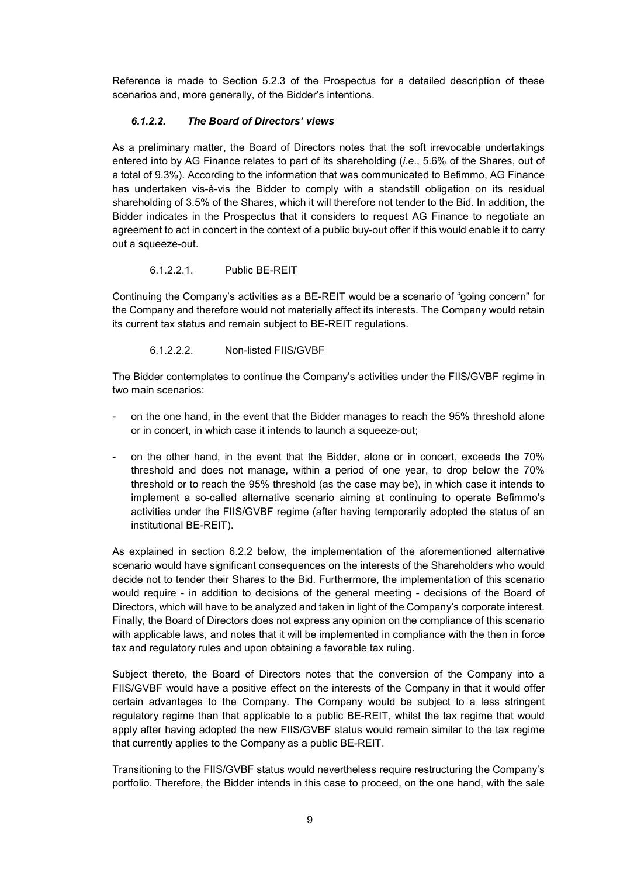Reference is made to Section 5.2.3 of the Prospectus for a detailed description of these scenarios and, more generally, of the Bidder's intentions.

## *6.1.2.2. The Board of Directors' views*

As a preliminary matter, the Board of Directors notes that the soft irrevocable undertakings entered into by AG Finance relates to part of its shareholding (*i.e*., 5.6% of the Shares, out of a total of 9.3%). According to the information that was communicated to Befimmo, AG Finance has undertaken vis-à-vis the Bidder to comply with a standstill obligation on its residual shareholding of 3.5% of the Shares, which it will therefore not tender to the Bid. In addition, the Bidder indicates in the Prospectus that it considers to request AG Finance to negotiate an agreement to act in concert in the context of a public buy-out offer if this would enable it to carry out a squeeze-out.

## 6.1.2.2.1. Public BE-REIT

Continuing the Company's activities as a BE-REIT would be a scenario of "going concern" for the Company and therefore would not materially affect its interests. The Company would retain its current tax status and remain subject to BE-REIT regulations.

## 6.1.2.2.2. Non-listed FIIS/GVBF

The Bidder contemplates to continue the Company's activities under the FIIS/GVBF regime in two main scenarios:

- on the one hand, in the event that the Bidder manages to reach the 95% threshold alone or in concert, in which case it intends to launch a squeeze-out;
- on the other hand, in the event that the Bidder, alone or in concert, exceeds the 70% threshold and does not manage, within a period of one year, to drop below the 70% threshold or to reach the 95% threshold (as the case may be), in which case it intends to implement a so-called alternative scenario aiming at continuing to operate Befimmo's activities under the FIIS/GVBF regime (after having temporarily adopted the status of an institutional BE-REIT).

As explained in section [6.2.2](#page-14-0) below, the implementation of the aforementioned alternative scenario would have significant consequences on the interests of the Shareholders who would decide not to tender their Shares to the Bid. Furthermore, the implementation of this scenario would require - in addition to decisions of the general meeting - decisions of the Board of Directors, which will have to be analyzed and taken in light of the Company's corporate interest. Finally, the Board of Directors does not express any opinion on the compliance of this scenario with applicable laws, and notes that it will be implemented in compliance with the then in force tax and regulatory rules and upon obtaining a favorable tax ruling.

Subject thereto, the Board of Directors notes that the conversion of the Company into a FIIS/GVBF would have a positive effect on the interests of the Company in that it would offer certain advantages to the Company. The Company would be subject to a less stringent regulatory regime than that applicable to a public BE-REIT, whilst the tax regime that would apply after having adopted the new FIIS/GVBF status would remain similar to the tax regime that currently applies to the Company as a public BE-REIT.

Transitioning to the FIIS/GVBF status would nevertheless require restructuring the Company's portfolio. Therefore, the Bidder intends in this case to proceed, on the one hand, with the sale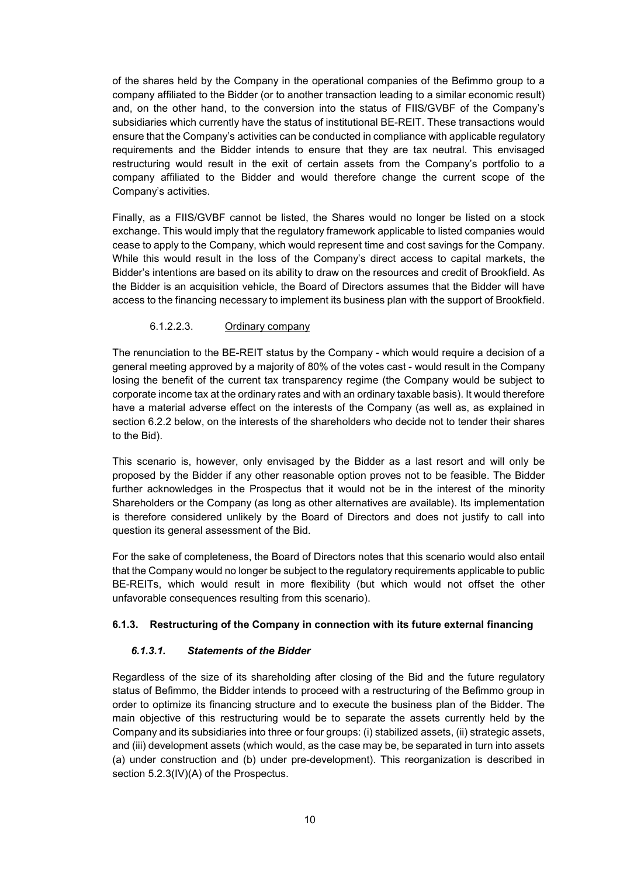of the shares held by the Company in the operational companies of the Befimmo group to a company affiliated to the Bidder (or to another transaction leading to a similar economic result) and, on the other hand, to the conversion into the status of FIIS/GVBF of the Company's subsidiaries which currently have the status of institutional BE-REIT. These transactions would ensure that the Company's activities can be conducted in compliance with applicable regulatory requirements and the Bidder intends to ensure that they are tax neutral. This envisaged restructuring would result in the exit of certain assets from the Company's portfolio to a company affiliated to the Bidder and would therefore change the current scope of the Company's activities.

Finally, as a FIIS/GVBF cannot be listed, the Shares would no longer be listed on a stock exchange. This would imply that the regulatory framework applicable to listed companies would cease to apply to the Company, which would represent time and cost savings for the Company. While this would result in the loss of the Company's direct access to capital markets, the Bidder's intentions are based on its ability to draw on the resources and credit of Brookfield. As the Bidder is an acquisition vehicle, the Board of Directors assumes that the Bidder will have access to the financing necessary to implement its business plan with the support of Brookfield.

## 6.1.2.2.3. Ordinary company

The renunciation to the BE-REIT status by the Company - which would require a decision of a general meeting approved by a majority of 80% of the votes cast - would result in the Company losing the benefit of the current tax transparency regime (the Company would be subject to corporate income tax at the ordinary rates and with an ordinary taxable basis). It would therefore have a material adverse effect on the interests of the Company (as well as, as explained in section [6.2.2](#page-14-0) below, on the interests of the shareholders who decide not to tender their shares to the Bid).

This scenario is, however, only envisaged by the Bidder as a last resort and will only be proposed by the Bidder if any other reasonable option proves not to be feasible. The Bidder further acknowledges in the Prospectus that it would not be in the interest of the minority Shareholders or the Company (as long as other alternatives are available). Its implementation is therefore considered unlikely by the Board of Directors and does not justify to call into question its general assessment of the Bid.

For the sake of completeness, the Board of Directors notes that this scenario would also entail that the Company would no longer be subject to the regulatory requirements applicable to public BE-REITs, which would result in more flexibility (but which would not offset the other unfavorable consequences resulting from this scenario).

## **6.1.3. Restructuring of the Company in connection with its future external financing**

## *6.1.3.1. Statements of the Bidder*

Regardless of the size of its shareholding after closing of the Bid and the future regulatory status of Befimmo, the Bidder intends to proceed with a restructuring of the Befimmo group in order to optimize its financing structure and to execute the business plan of the Bidder. The main objective of this restructuring would be to separate the assets currently held by the Company and its subsidiaries into three or four groups: (i) stabilized assets, (ii) strategic assets, and (iii) development assets (which would, as the case may be, be separated in turn into assets (a) under construction and (b) under pre-development). This reorganization is described in section 5.2.3(IV)(A) of the Prospectus.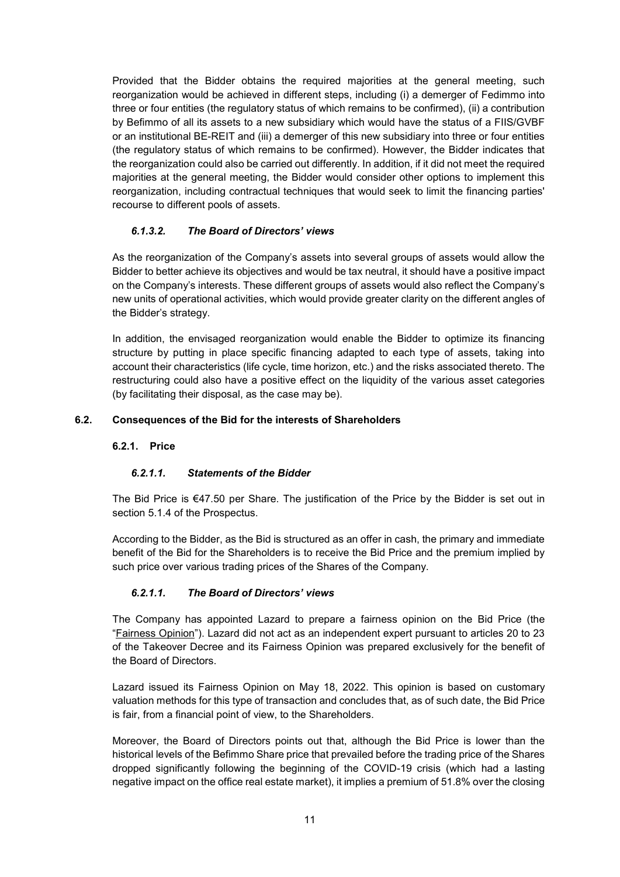Provided that the Bidder obtains the required majorities at the general meeting, such reorganization would be achieved in different steps, including (i) a demerger of Fedimmo into three or four entities (the regulatory status of which remains to be confirmed), (ii) a contribution by Befimmo of all its assets to a new subsidiary which would have the status of a FIIS/GVBF or an institutional BE-REIT and (iii) a demerger of this new subsidiary into three or four entities (the regulatory status of which remains to be confirmed). However, the Bidder indicates that the reorganization could also be carried out differently. In addition, if it did not meet the required majorities at the general meeting, the Bidder would consider other options to implement this reorganization, including contractual techniques that would seek to limit the financing parties' recourse to different pools of assets.

## *6.1.3.2. The Board of Directors' views*

As the reorganization of the Company's assets into several groups of assets would allow the Bidder to better achieve its objectives and would be tax neutral, it should have a positive impact on the Company's interests. These different groups of assets would also reflect the Company's new units of operational activities, which would provide greater clarity on the different angles of the Bidder's strategy.

In addition, the envisaged reorganization would enable the Bidder to optimize its financing structure by putting in place specific financing adapted to each type of assets, taking into account their characteristics (life cycle, time horizon, etc.) and the risks associated thereto. The restructuring could also have a positive effect on the liquidity of the various asset categories (by facilitating their disposal, as the case may be).

## <span id="page-13-0"></span>**6.2. Consequences of the Bid for the interests of Shareholders**

## **6.2.1. Price**

## *6.2.1.1. Statements of the Bidder*

The Bid Price is €47.50 per Share. The justification of the Price by the Bidder is set out in section 5.1.4 of the Prospectus.

According to the Bidder, as the Bid is structured as an offer in cash, the primary and immediate benefit of the Bid for the Shareholders is to receive the Bid Price and the premium implied by such price over various trading prices of the Shares of the Company.

## *6.2.1.1. The Board of Directors' views*

The Company has appointed Lazard to prepare a fairness opinion on the Bid Price (the "Fairness Opinion"). Lazard did not act as an independent expert pursuant to articles 20 to 23 of the Takeover Decree and its Fairness Opinion was prepared exclusively for the benefit of the Board of Directors.

Lazard issued its Fairness Opinion on May 18, 2022. This opinion is based on customary valuation methods for this type of transaction and concludes that, as of such date, the Bid Price is fair, from a financial point of view, to the Shareholders.

Moreover, the Board of Directors points out that, although the Bid Price is lower than the historical levels of the Befimmo Share price that prevailed before the trading price of the Shares dropped significantly following the beginning of the COVID-19 crisis (which had a lasting negative impact on the office real estate market), it implies a premium of 51.8% over the closing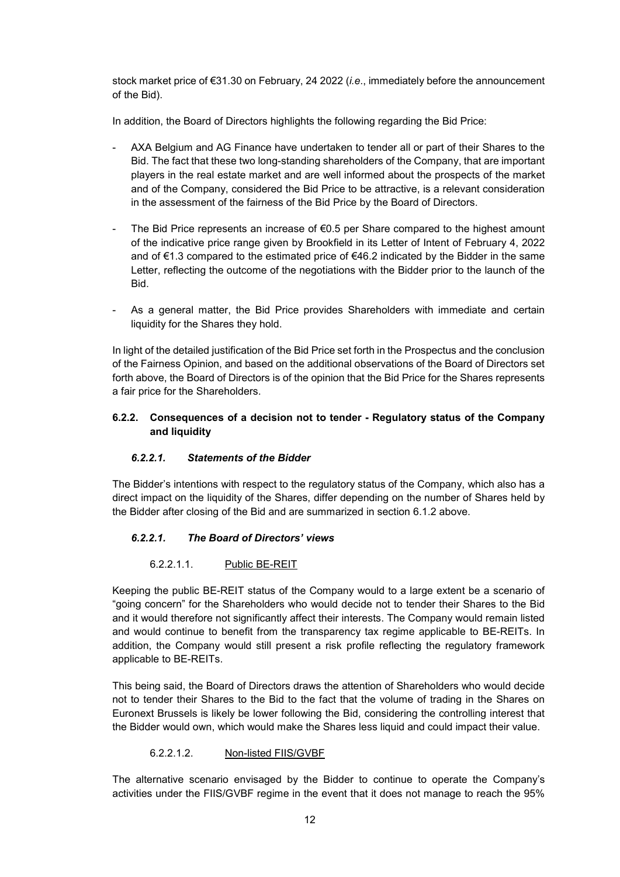stock market price of €31.30 on February, 24 2022 (*i.e*., immediately before the announcement of the Bid).

In addition, the Board of Directors highlights the following regarding the Bid Price:

- AXA Belgium and AG Finance have undertaken to tender all or part of their Shares to the Bid. The fact that these two long-standing shareholders of the Company, that are important players in the real estate market and are well informed about the prospects of the market and of the Company, considered the Bid Price to be attractive, is a relevant consideration in the assessment of the fairness of the Bid Price by the Board of Directors.
- The Bid Price represents an increase of  $\epsilon$ 0.5 per Share compared to the highest amount of the indicative price range given by Brookfield in its Letter of Intent of February 4, 2022 and of €1.3 compared to the estimated price of €46.2 indicated by the Bidder in the same Letter, reflecting the outcome of the negotiations with the Bidder prior to the launch of the Bid.
- As a general matter, the Bid Price provides Shareholders with immediate and certain liquidity for the Shares they hold.

In light of the detailed justification of the Bid Price set forth in the Prospectus and the conclusion of the Fairness Opinion, and based on the additional observations of the Board of Directors set forth above, the Board of Directors is of the opinion that the Bid Price for the Shares represents a fair price for the Shareholders.

## <span id="page-14-0"></span>**6.2.2. Consequences of a decision not to tender - Regulatory status of the Company and liquidity**

## *6.2.2.1. Statements of the Bidder*

The Bidder's intentions with respect to the regulatory status of the Company, which also has a direct impact on the liquidity of the Shares, differ depending on the number of Shares held by the Bidder after closing of the Bid and are summarized in section [6.1.2](#page-9-0) above.

## *6.2.2.1. The Board of Directors' views*

## 6.2.2.1.1. Public BE-REIT

Keeping the public BE-REIT status of the Company would to a large extent be a scenario of "going concern" for the Shareholders who would decide not to tender their Shares to the Bid and it would therefore not significantly affect their interests. The Company would remain listed and would continue to benefit from the transparency tax regime applicable to BE-REITs. In addition, the Company would still present a risk profile reflecting the regulatory framework applicable to BE-REITs.

This being said, the Board of Directors draws the attention of Shareholders who would decide not to tender their Shares to the Bid to the fact that the volume of trading in the Shares on Euronext Brussels is likely be lower following the Bid, considering the controlling interest that the Bidder would own, which would make the Shares less liquid and could impact their value.

## 6.2.2.1.2. Non-listed FIIS/GVBF

The alternative scenario envisaged by the Bidder to continue to operate the Company's activities under the FIIS/GVBF regime in the event that it does not manage to reach the 95%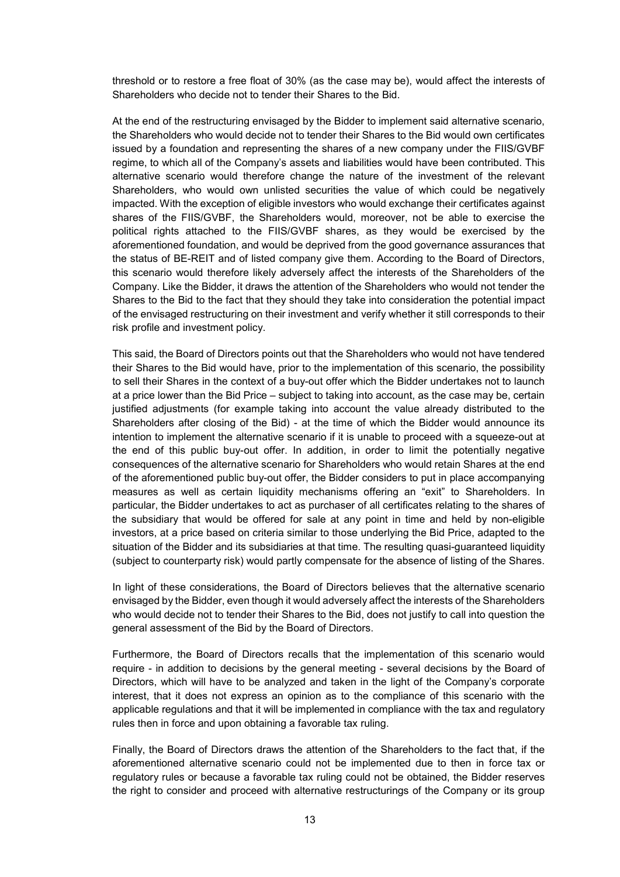threshold or to restore a free float of 30% (as the case may be), would affect the interests of Shareholders who decide not to tender their Shares to the Bid.

At the end of the restructuring envisaged by the Bidder to implement said alternative scenario, the Shareholders who would decide not to tender their Shares to the Bid would own certificates issued by a foundation and representing the shares of a new company under the FIIS/GVBF regime, to which all of the Company's assets and liabilities would have been contributed. This alternative scenario would therefore change the nature of the investment of the relevant Shareholders, who would own unlisted securities the value of which could be negatively impacted. With the exception of eligible investors who would exchange their certificates against shares of the FIIS/GVBF, the Shareholders would, moreover, not be able to exercise the political rights attached to the FIIS/GVBF shares, as they would be exercised by the aforementioned foundation, and would be deprived from the good governance assurances that the status of BE-REIT and of listed company give them. According to the Board of Directors, this scenario would therefore likely adversely affect the interests of the Shareholders of the Company. Like the Bidder, it draws the attention of the Shareholders who would not tender the Shares to the Bid to the fact that they should they take into consideration the potential impact of the envisaged restructuring on their investment and verify whether it still corresponds to their risk profile and investment policy.

This said, the Board of Directors points out that the Shareholders who would not have tendered their Shares to the Bid would have, prior to the implementation of this scenario, the possibility to sell their Shares in the context of a buy-out offer which the Bidder undertakes not to launch at a price lower than the Bid Price – subject to taking into account, as the case may be, certain justified adjustments (for example taking into account the value already distributed to the Shareholders after closing of the Bid) - at the time of which the Bidder would announce its intention to implement the alternative scenario if it is unable to proceed with a squeeze-out at the end of this public buy-out offer. In addition, in order to limit the potentially negative consequences of the alternative scenario for Shareholders who would retain Shares at the end of the aforementioned public buy-out offer, the Bidder considers to put in place accompanying measures as well as certain liquidity mechanisms offering an "exit" to Shareholders. In particular, the Bidder undertakes to act as purchaser of all certificates relating to the shares of the subsidiary that would be offered for sale at any point in time and held by non-eligible investors, at a price based on criteria similar to those underlying the Bid Price, adapted to the situation of the Bidder and its subsidiaries at that time. The resulting quasi-guaranteed liquidity (subject to counterparty risk) would partly compensate for the absence of listing of the Shares.

In light of these considerations, the Board of Directors believes that the alternative scenario envisaged by the Bidder, even though it would adversely affect the interests of the Shareholders who would decide not to tender their Shares to the Bid, does not justify to call into question the general assessment of the Bid by the Board of Directors.

Furthermore, the Board of Directors recalls that the implementation of this scenario would require - in addition to decisions by the general meeting - several decisions by the Board of Directors, which will have to be analyzed and taken in the light of the Company's corporate interest, that it does not express an opinion as to the compliance of this scenario with the applicable regulations and that it will be implemented in compliance with the tax and regulatory rules then in force and upon obtaining a favorable tax ruling.

Finally, the Board of Directors draws the attention of the Shareholders to the fact that, if the aforementioned alternative scenario could not be implemented due to then in force tax or regulatory rules or because a favorable tax ruling could not be obtained, the Bidder reserves the right to consider and proceed with alternative restructurings of the Company or its group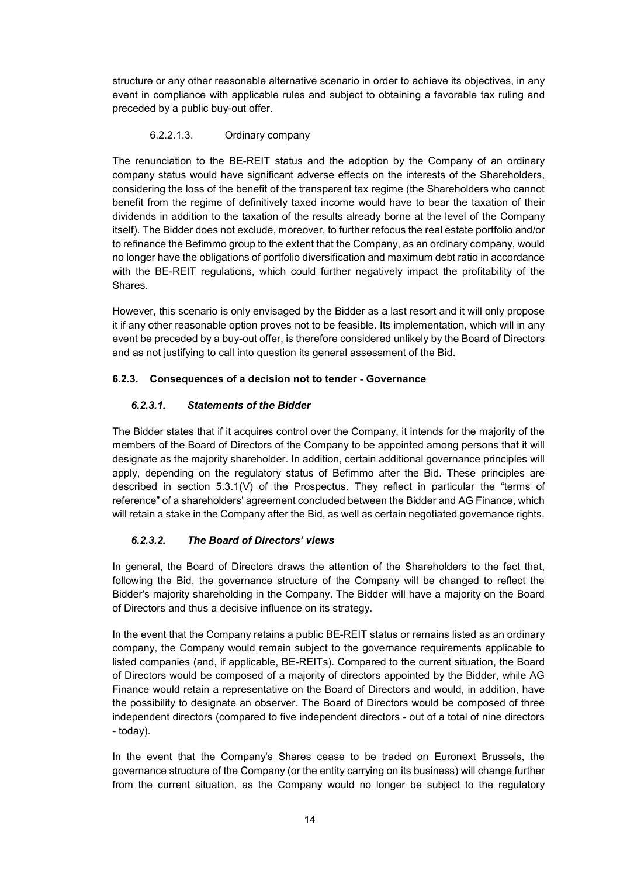structure or any other reasonable alternative scenario in order to achieve its objectives, in any event in compliance with applicable rules and subject to obtaining a favorable tax ruling and preceded by a public buy-out offer.

## 6.2.2.1.3. Ordinary company

The renunciation to the BE-REIT status and the adoption by the Company of an ordinary company status would have significant adverse effects on the interests of the Shareholders, considering the loss of the benefit of the transparent tax regime (the Shareholders who cannot benefit from the regime of definitively taxed income would have to bear the taxation of their dividends in addition to the taxation of the results already borne at the level of the Company itself). The Bidder does not exclude, moreover, to further refocus the real estate portfolio and/or to refinance the Befimmo group to the extent that the Company, as an ordinary company, would no longer have the obligations of portfolio diversification and maximum debt ratio in accordance with the BE-REIT regulations, which could further negatively impact the profitability of the Shares.

However, this scenario is only envisaged by the Bidder as a last resort and it will only propose it if any other reasonable option proves not to be feasible. Its implementation, which will in any event be preceded by a buy-out offer, is therefore considered unlikely by the Board of Directors and as not justifying to call into question its general assessment of the Bid.

# **6.2.3. Consequences of a decision not to tender - Governance**

# *6.2.3.1. Statements of the Bidder*

The Bidder states that if it acquires control over the Company, it intends for the majority of the members of the Board of Directors of the Company to be appointed among persons that it will designate as the majority shareholder. In addition, certain additional governance principles will apply, depending on the regulatory status of Befimmo after the Bid. These principles are described in section 5.3.1(V) of the Prospectus. They reflect in particular the "terms of reference" of a shareholders' agreement concluded between the Bidder and AG Finance, which will retain a stake in the Company after the Bid, as well as certain negotiated governance rights.

# *6.2.3.2. The Board of Directors' views*

In general, the Board of Directors draws the attention of the Shareholders to the fact that, following the Bid, the governance structure of the Company will be changed to reflect the Bidder's majority shareholding in the Company. The Bidder will have a majority on the Board of Directors and thus a decisive influence on its strategy.

In the event that the Company retains a public BE-REIT status or remains listed as an ordinary company, the Company would remain subject to the governance requirements applicable to listed companies (and, if applicable, BE-REITs). Compared to the current situation, the Board of Directors would be composed of a majority of directors appointed by the Bidder, while AG Finance would retain a representative on the Board of Directors and would, in addition, have the possibility to designate an observer. The Board of Directors would be composed of three independent directors (compared to five independent directors - out of a total of nine directors - today).

In the event that the Company's Shares cease to be traded on Euronext Brussels, the governance structure of the Company (or the entity carrying on its business) will change further from the current situation, as the Company would no longer be subject to the regulatory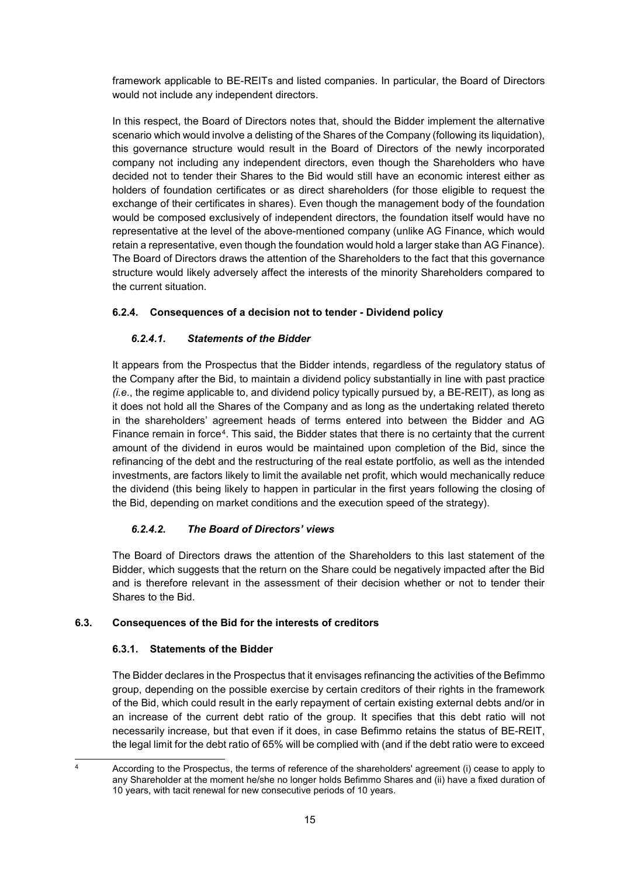framework applicable to BE-REITs and listed companies. In particular, the Board of Directors would not include any independent directors.

In this respect, the Board of Directors notes that, should the Bidder implement the alternative scenario which would involve a delisting of the Shares of the Company (following its liquidation), this governance structure would result in the Board of Directors of the newly incorporated company not including any independent directors, even though the Shareholders who have decided not to tender their Shares to the Bid would still have an economic interest either as holders of foundation certificates or as direct shareholders (for those eligible to request the exchange of their certificates in shares). Even though the management body of the foundation would be composed exclusively of independent directors, the foundation itself would have no representative at the level of the above-mentioned company (unlike AG Finance, which would retain a representative, even though the foundation would hold a larger stake than AG Finance). The Board of Directors draws the attention of the Shareholders to the fact that this governance structure would likely adversely affect the interests of the minority Shareholders compared to the current situation.

## **6.2.4. Consequences of a decision not to tender - Dividend policy**

## *6.2.4.1. Statements of the Bidder*

It appears from the Prospectus that the Bidder intends, regardless of the regulatory status of the Company after the Bid, to maintain a dividend policy substantially in line with past practice *(i.e*., the regime applicable to, and dividend policy typically pursued by, a BE-REIT), as long as it does not hold all the Shares of the Company and as long as the undertaking related thereto in the shareholders' agreement heads of terms entered into between the Bidder and AG Finance remain in force<sup>4</sup>. This said, the Bidder states that there is no certainty that the current amount of the dividend in euros would be maintained upon completion of the Bid, since the refinancing of the debt and the restructuring of the real estate portfolio, as well as the intended investments, are factors likely to limit the available net profit, which would mechanically reduce the dividend (this being likely to happen in particular in the first years following the closing of the Bid, depending on market conditions and the execution speed of the strategy).

## *6.2.4.2. The Board of Directors' views*

The Board of Directors draws the attention of the Shareholders to this last statement of the Bidder, which suggests that the return on the Share could be negatively impacted after the Bid and is therefore relevant in the assessment of their decision whether or not to tender their Shares to the Bid.

## <span id="page-17-0"></span>**6.3. Consequences of the Bid for the interests of creditors**

## **6.3.1. Statements of the Bidder**

The Bidder declares in the Prospectus that it envisages refinancing the activities of the Befimmo group, depending on the possible exercise by certain creditors of their rights in the framework of the Bid, which could result in the early repayment of certain existing external debts and/or in an increase of the current debt ratio of the group. It specifies that this debt ratio will not necessarily increase, but that even if it does, in case Befimmo retains the status of BE-REIT, the legal limit for the debt ratio of 65% will be complied with (and if the debt ratio were to exceed

<span id="page-17-1"></span><sup>4</sup> According to the Prospectus, the terms of reference of the shareholders' agreement (i) cease to apply to any Shareholder at the moment he/she no longer holds Befimmo Shares and (ii) have a fixed duration of 10 years, with tacit renewal for new consecutive periods of 10 years.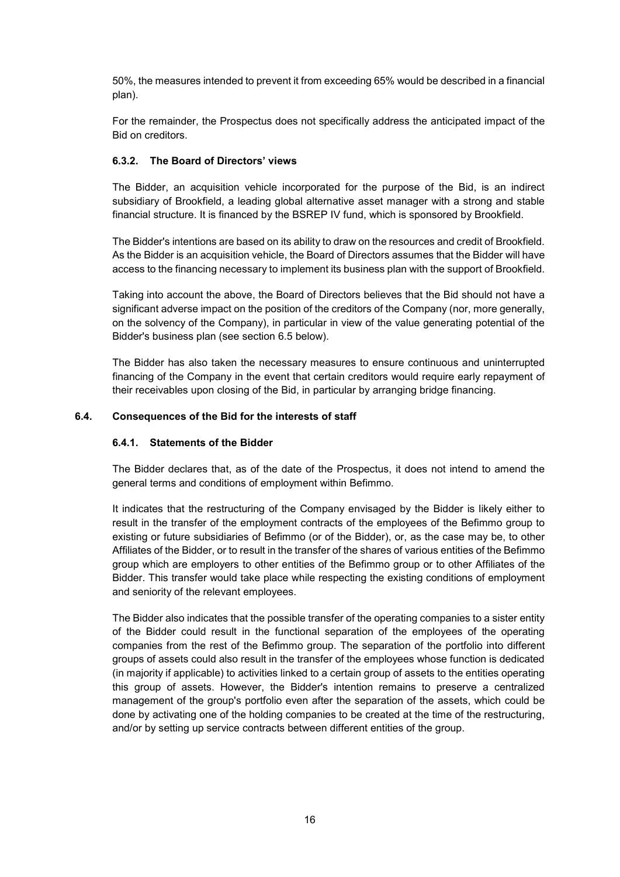50%, the measures intended to prevent it from exceeding 65% would be described in a financial plan).

For the remainder, the Prospectus does not specifically address the anticipated impact of the Bid on creditors.

## **6.3.2. The Board of Directors' views**

The Bidder, an acquisition vehicle incorporated for the purpose of the Bid, is an indirect subsidiary of Brookfield, a leading global alternative asset manager with a strong and stable financial structure. It is financed by the BSREP IV fund, which is sponsored by Brookfield.

The Bidder's intentions are based on its ability to draw on the resources and credit of Brookfield. As the Bidder is an acquisition vehicle, the Board of Directors assumes that the Bidder will have access to the financing necessary to implement its business plan with the support of Brookfield.

Taking into account the above, the Board of Directors believes that the Bid should not have a significant adverse impact on the position of the creditors of the Company (nor, more generally, on the solvency of the Company), in particular in view of the value generating potential of the Bidder's business plan (see section [6.5](#page-19-0) below).

The Bidder has also taken the necessary measures to ensure continuous and uninterrupted financing of the Company in the event that certain creditors would require early repayment of their receivables upon closing of the Bid, in particular by arranging bridge financing.

## <span id="page-18-0"></span>**6.4. Consequences of the Bid for the interests of staff**

## **6.4.1. Statements of the Bidder**

The Bidder declares that, as of the date of the Prospectus, it does not intend to amend the general terms and conditions of employment within Befimmo.

It indicates that the restructuring of the Company envisaged by the Bidder is likely either to result in the transfer of the employment contracts of the employees of the Befimmo group to existing or future subsidiaries of Befimmo (or of the Bidder), or, as the case may be, to other Affiliates of the Bidder, or to result in the transfer of the shares of various entities of the Befimmo group which are employers to other entities of the Befimmo group or to other Affiliates of the Bidder. This transfer would take place while respecting the existing conditions of employment and seniority of the relevant employees.

The Bidder also indicates that the possible transfer of the operating companies to a sister entity of the Bidder could result in the functional separation of the employees of the operating companies from the rest of the Befimmo group. The separation of the portfolio into different groups of assets could also result in the transfer of the employees whose function is dedicated (in majority if applicable) to activities linked to a certain group of assets to the entities operating this group of assets. However, the Bidder's intention remains to preserve a centralized management of the group's portfolio even after the separation of the assets, which could be done by activating one of the holding companies to be created at the time of the restructuring, and/or by setting up service contracts between different entities of the group.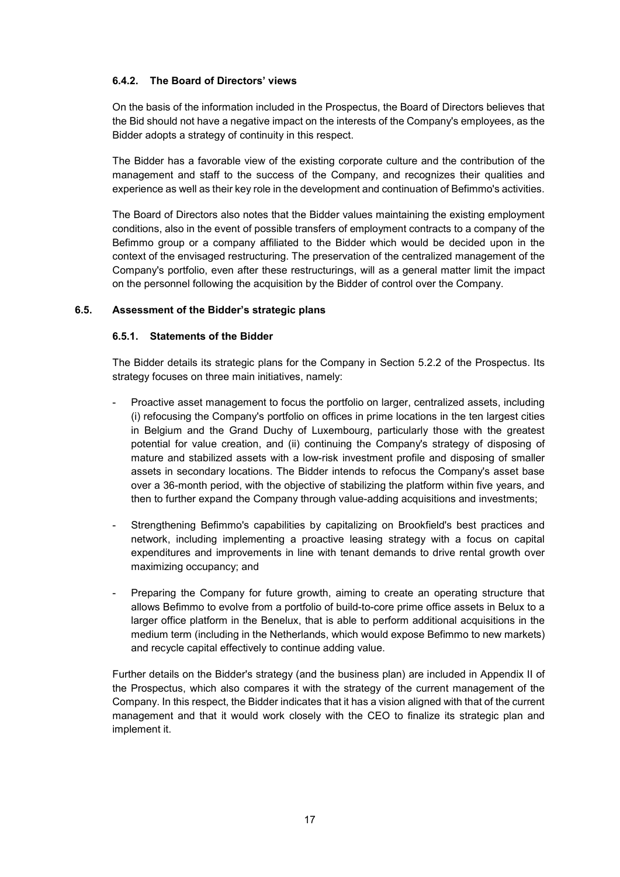## **6.4.2. The Board of Directors' views**

On the basis of the information included in the Prospectus, the Board of Directors believes that the Bid should not have a negative impact on the interests of the Company's employees, as the Bidder adopts a strategy of continuity in this respect.

The Bidder has a favorable view of the existing corporate culture and the contribution of the management and staff to the success of the Company, and recognizes their qualities and experience as well as their key role in the development and continuation of Befimmo's activities.

The Board of Directors also notes that the Bidder values maintaining the existing employment conditions, also in the event of possible transfers of employment contracts to a company of the Befimmo group or a company affiliated to the Bidder which would be decided upon in the context of the envisaged restructuring. The preservation of the centralized management of the Company's portfolio, even after these restructurings, will as a general matter limit the impact on the personnel following the acquisition by the Bidder of control over the Company.

## <span id="page-19-0"></span>**6.5. Assessment of the Bidder's strategic plans**

## **6.5.1. Statements of the Bidder**

The Bidder details its strategic plans for the Company in Section 5.2.2 of the Prospectus. Its strategy focuses on three main initiatives, namely:

- Proactive asset management to focus the portfolio on larger, centralized assets, including (i) refocusing the Company's portfolio on offices in prime locations in the ten largest cities in Belgium and the Grand Duchy of Luxembourg, particularly those with the greatest potential for value creation, and (ii) continuing the Company's strategy of disposing of mature and stabilized assets with a low-risk investment profile and disposing of smaller assets in secondary locations. The Bidder intends to refocus the Company's asset base over a 36-month period, with the objective of stabilizing the platform within five years, and then to further expand the Company through value-adding acquisitions and investments;
- Strengthening Befimmo's capabilities by capitalizing on Brookfield's best practices and network, including implementing a proactive leasing strategy with a focus on capital expenditures and improvements in line with tenant demands to drive rental growth over maximizing occupancy; and
- Preparing the Company for future growth, aiming to create an operating structure that allows Befimmo to evolve from a portfolio of build-to-core prime office assets in Belux to a larger office platform in the Benelux, that is able to perform additional acquisitions in the medium term (including in the Netherlands, which would expose Befimmo to new markets) and recycle capital effectively to continue adding value.

Further details on the Bidder's strategy (and the business plan) are included in Appendix II of the Prospectus, which also compares it with the strategy of the current management of the Company. In this respect, the Bidder indicates that it has a vision aligned with that of the current management and that it would work closely with the CEO to finalize its strategic plan and implement it.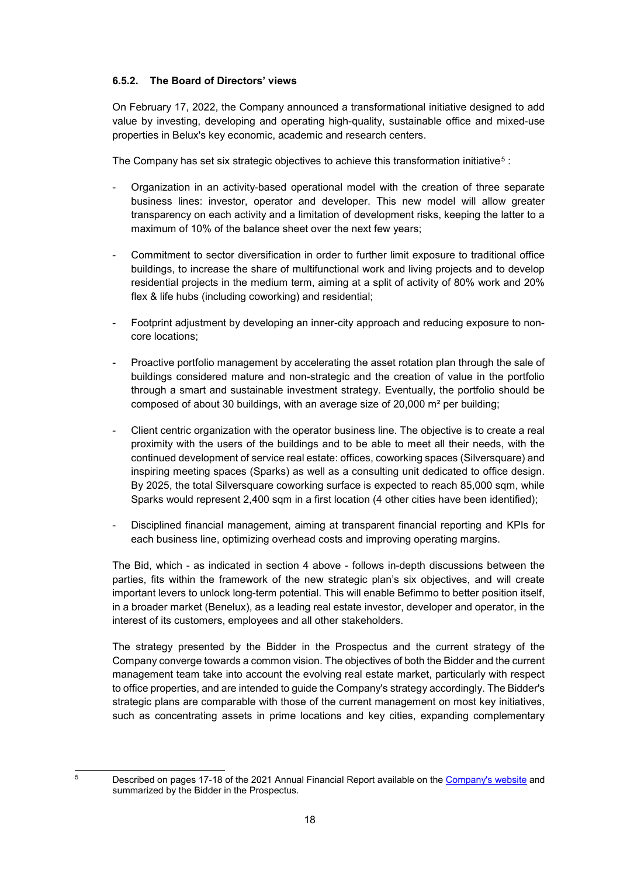## **6.5.2. The Board of Directors' views**

On February 17, 2022, the Company announced a transformational initiative designed to add value by investing, developing and operating high-quality, sustainable office and mixed-use properties in Belux's key economic, academic and research centers.

The Company has set six strategic objectives to achieve this transformation initiative<sup>[5](#page-20-0)</sup>:

- Organization in an activity-based operational model with the creation of three separate business lines: investor, operator and developer. This new model will allow greater transparency on each activity and a limitation of development risks, keeping the latter to a maximum of 10% of the balance sheet over the next few years;
- Commitment to sector diversification in order to further limit exposure to traditional office buildings, to increase the share of multifunctional work and living projects and to develop residential projects in the medium term, aiming at a split of activity of 80% work and 20% flex & life hubs (including coworking) and residential;
- Footprint adjustment by developing an inner-city approach and reducing exposure to noncore locations;
- Proactive portfolio management by accelerating the asset rotation plan through the sale of buildings considered mature and non-strategic and the creation of value in the portfolio through a smart and sustainable investment strategy. Eventually, the portfolio should be composed of about 30 buildings, with an average size of 20,000 m² per building;
- Client centric organization with the operator business line. The objective is to create a real proximity with the users of the buildings and to be able to meet all their needs, with the continued development of service real estate: offices, coworking spaces (Silversquare) and inspiring meeting spaces (Sparks) as well as a consulting unit dedicated to office design. By 2025, the total Silversquare coworking surface is expected to reach 85,000 sqm, while Sparks would represent 2,400 sqm in a first location (4 other cities have been identified);
- Disciplined financial management, aiming at transparent financial reporting and KPIs for each business line, optimizing overhead costs and improving operating margins.

The Bid, which - as indicated in section [4](#page-4-1) above - follows in-depth discussions between the parties, fits within the framework of the new strategic plan's six objectives, and will create important levers to unlock long-term potential. This will enable Befimmo to better position itself, in a broader market (Benelux), as a leading real estate investor, developer and operator, in the interest of its customers, employees and all other stakeholders.

The strategy presented by the Bidder in the Prospectus and the current strategy of the Company converge towards a common vision. The objectives of both the Bidder and the current management team take into account the evolving real estate market, particularly with respect to office properties, and are intended to guide the Company's strategy accordingly. The Bidder's strategic plans are comparable with those of the current management on most key initiatives, such as concentrating assets in prime locations and key cities, expanding complementary

<span id="page-20-0"></span> $\overline{5}$ 

Described on pages 17-18 of the 2021 Annual Financial Report available on the [Company's website](https://www.befimmo.be/sites/default/files/imce/publications/befimmo_annualfinancialreport_2021_uk.pdf) and summarized by the Bidder in the Prospectus.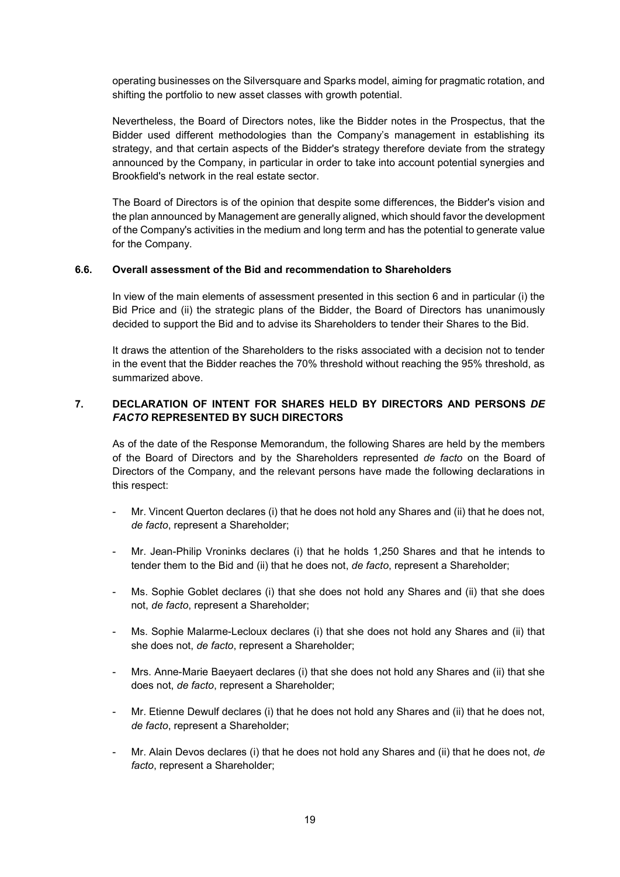operating businesses on the Silversquare and Sparks model, aiming for pragmatic rotation, and shifting the portfolio to new asset classes with growth potential.

Nevertheless, the Board of Directors notes, like the Bidder notes in the Prospectus, that the Bidder used different methodologies than the Company's management in establishing its strategy, and that certain aspects of the Bidder's strategy therefore deviate from the strategy announced by the Company, in particular in order to take into account potential synergies and Brookfield's network in the real estate sector.

The Board of Directors is of the opinion that despite some differences, the Bidder's vision and the plan announced by Management are generally aligned, which should favor the development of the Company's activities in the medium and long term and has the potential to generate value for the Company.

#### <span id="page-21-0"></span>**6.6. Overall assessment of the Bid and recommendation to Shareholders**

In view of the main elements of assessment presented in this section [6](#page-8-0) and in particular (i) the Bid Price and (ii) the strategic plans of the Bidder, the Board of Directors has unanimously decided to support the Bid and to advise its Shareholders to tender their Shares to the Bid.

It draws the attention of the Shareholders to the risks associated with a decision not to tender in the event that the Bidder reaches the 70% threshold without reaching the 95% threshold, as summarized above.

## <span id="page-21-1"></span>**7. DECLARATION OF INTENT FOR SHARES HELD BY DIRECTORS AND PERSONS** *DE FACTO* **REPRESENTED BY SUCH DIRECTORS**

As of the date of the Response Memorandum, the following Shares are held by the members of the Board of Directors and by the Shareholders represented *de facto* on the Board of Directors of the Company, and the relevant persons have made the following declarations in this respect:

- Mr. Vincent Querton declares (i) that he does not hold any Shares and (ii) that he does not, *de facto*, represent a Shareholder;
- Mr. Jean-Philip Vroninks declares (i) that he holds 1,250 Shares and that he intends to tender them to the Bid and (ii) that he does not, *de facto*, represent a Shareholder;
- Ms. Sophie Goblet declares (i) that she does not hold any Shares and (ii) that she does not, *de facto*, represent a Shareholder;
- Ms. Sophie Malarme-Lecloux declares (i) that she does not hold any Shares and (ii) that she does not, *de facto*, represent a Shareholder;
- Mrs. Anne-Marie Baeyaert declares (i) that she does not hold any Shares and (ii) that she does not, *de facto*, represent a Shareholder;
- Mr. Etienne Dewulf declares (i) that he does not hold any Shares and (ii) that he does not, *de facto*, represent a Shareholder;
- Mr. Alain Devos declares (i) that he does not hold any Shares and (ii) that he does not, *de facto*, represent a Shareholder;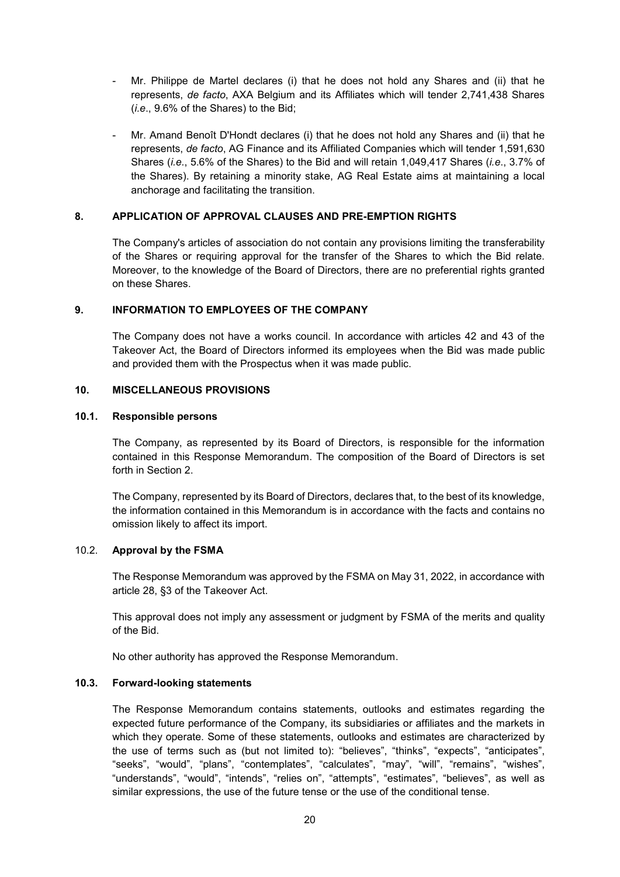- Mr. Philippe de Martel declares (i) that he does not hold any Shares and (ii) that he represents, *de facto*, AXA Belgium and its Affiliates which will tender 2,741,438 Shares (*i.e*., 9.6% of the Shares) to the Bid;
- Mr. Amand Benoît D'Hondt declares (i) that he does not hold any Shares and (ii) that he represents, *de facto*, AG Finance and its Affiliated Companies which will tender 1,591,630 Shares (*i.e.*, 5.6% of the Shares) to the Bid and will retain 1,049,417 Shares (*i.e*., 3.7% of the Shares). By retaining a minority stake, AG Real Estate aims at maintaining a local anchorage and facilitating the transition.

## <span id="page-22-0"></span>**8. APPLICATION OF APPROVAL CLAUSES AND PRE-EMPTION RIGHTS**

The Company's articles of association do not contain any provisions limiting the transferability of the Shares or requiring approval for the transfer of the Shares to which the Bid relate. Moreover, to the knowledge of the Board of Directors, there are no preferential rights granted on these Shares.

#### <span id="page-22-1"></span>**9. INFORMATION TO EMPLOYEES OF THE COMPANY**

The Company does not have a works council. In accordance with articles 42 and 43 of the Takeover Act, the Board of Directors informed its employees when the Bid was made public and provided them with the Prospectus when it was made public.

#### <span id="page-22-2"></span>**10. MISCELLANEOUS PROVISIONS**

#### <span id="page-22-3"></span>**10.1. Responsible persons**

The Company, as represented by its Board of Directors, is responsible for the information contained in this Response Memorandum. The composition of the Board of Directors is set forth in Section [2.](#page-3-4)

The Company, represented by its Board of Directors, declares that, to the best of its knowledge, the information contained in this Memorandum is in accordance with the facts and contains no omission likely to affect its import.

## <span id="page-22-4"></span>10.2. **Approval by the FSMA**

The Response Memorandum was approved by the FSMA on May 31, 2022, in accordance with article 28, §3 of the Takeover Act.

This approval does not imply any assessment or judgment by FSMA of the merits and quality of the Bid.

No other authority has approved the Response Memorandum.

#### <span id="page-22-5"></span>**10.3. Forward-looking statements**

The Response Memorandum contains statements, outlooks and estimates regarding the expected future performance of the Company, its subsidiaries or affiliates and the markets in which they operate. Some of these statements, outlooks and estimates are characterized by the use of terms such as (but not limited to): "believes", "thinks", "expects", "anticipates", "seeks", "would", "plans", "contemplates", "calculates", "may", "will", "remains", "wishes", "understands", "would", "intends", "relies on", "attempts", "estimates", "believes", as well as similar expressions, the use of the future tense or the use of the conditional tense.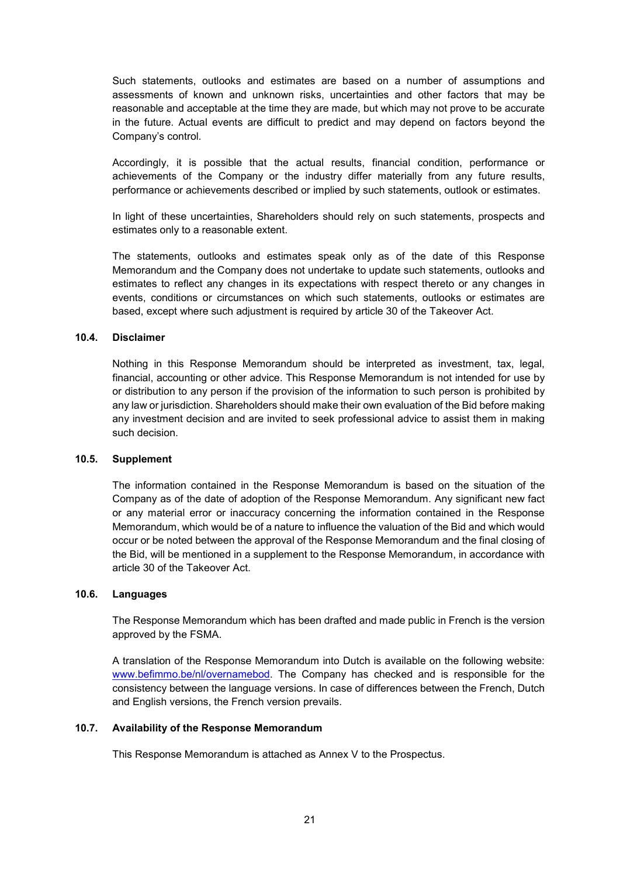Such statements, outlooks and estimates are based on a number of assumptions and assessments of known and unknown risks, uncertainties and other factors that may be reasonable and acceptable at the time they are made, but which may not prove to be accurate in the future. Actual events are difficult to predict and may depend on factors beyond the Company's control.

Accordingly, it is possible that the actual results, financial condition, performance or achievements of the Company or the industry differ materially from any future results, performance or achievements described or implied by such statements, outlook or estimates.

In light of these uncertainties, Shareholders should rely on such statements, prospects and estimates only to a reasonable extent.

The statements, outlooks and estimates speak only as of the date of this Response Memorandum and the Company does not undertake to update such statements, outlooks and estimates to reflect any changes in its expectations with respect thereto or any changes in events, conditions or circumstances on which such statements, outlooks or estimates are based, except where such adjustment is required by article 30 of the Takeover Act.

#### <span id="page-23-0"></span>**10.4. Disclaimer**

Nothing in this Response Memorandum should be interpreted as investment, tax, legal, financial, accounting or other advice. This Response Memorandum is not intended for use by or distribution to any person if the provision of the information to such person is prohibited by any law or jurisdiction. Shareholders should make their own evaluation of the Bid before making any investment decision and are invited to seek professional advice to assist them in making such decision.

#### <span id="page-23-1"></span>**10.5. Supplement**

The information contained in the Response Memorandum is based on the situation of the Company as of the date of adoption of the Response Memorandum. Any significant new fact or any material error or inaccuracy concerning the information contained in the Response Memorandum, which would be of a nature to influence the valuation of the Bid and which would occur or be noted between the approval of the Response Memorandum and the final closing of the Bid, will be mentioned in a supplement to the Response Memorandum, in accordance with article 30 of the Takeover Act.

#### <span id="page-23-2"></span>**10.6. Languages**

The Response Memorandum which has been drafted and made public in French is the version approved by the FSMA.

A translation of the Response Memorandum into Dutch is available on the following website: [www.befimmo.be/nl/overnamebod.](http://www.befimmo.be/nl/overnamebod) The Company has checked and is responsible for the consistency between the language versions. In case of differences between the French, Dutch and English versions, the French version prevails.

## <span id="page-23-3"></span>**10.7. Availability of the Response Memorandum**

This Response Memorandum is attached as Annex V to the Prospectus.